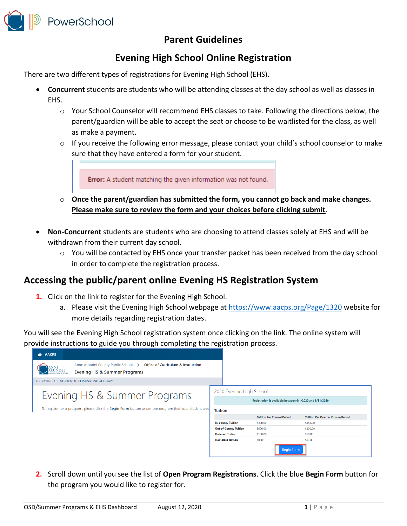

## **Parent Guidelines**

## **Evening High School Online Registration**

There are two different types of registrations for Evening High School (EHS).

- **Concurrent** students are students who will be attending classes at the day school as well as classes in FHS.
	- o Your School Counselor will recommend EHS classes to take. Following the directions below, the parent/guardian will be able to accept the seat or choose to be waitlisted for the class, as well as make a payment.
	- $\circ$  If you receive the following error message, please contact your child's school counselor to make sure that they have entered a form for your student.

Error: A student matching the given information was not found.

- o **Once the parent/guardian has submitted the form, you cannot go back and make changes. Please make sure to review the form and your choices before clicking submit**.
- **Non-Concurrent** students are students who are choosing to attend classes solely at EHS and will be withdrawn from their current day school.
	- o You will be contacted by EHS once your transfer packet has been received from the day school in order to complete the registration process.

## **Accessing the public/parent online Evening HS Registration System**

- **1.** Click on the link to register for the Evening High School.
	- a. Please visit the Evening High School webpage at<https://www.aacps.org/Page/1320> website for more details regarding registration dates.

You will see the Evening High School registration system once clicking on the link. The online system will provide instructions to guide you through completing the registration process.



**2.** Scroll down until you see the list of **Open Program Registrations**. Click the blue **Begin Form** button for the program you would like to register for.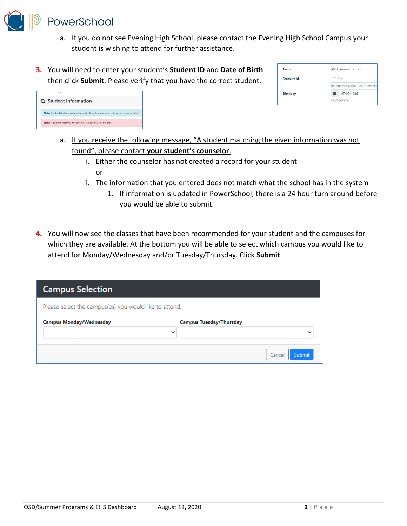

- a. If you do not see Evening High School, please contact the Evening High School Campus your student is wishing to attend for further assistance.
- **3.** You will need to enter your student's **Student ID** and **Date of Birth** then click **Submit**. Please verify that you have the correct student.

| Term              | 2020 Summer School                    |
|-------------------|---------------------------------------|
| <b>Student Id</b> | T00011                                |
|                   | The student's 6-digit AACPS identific |
| <b>Birthday</b>   | ≐<br>07/09/1986                       |
|                   | MM/DD/YYYY                            |



- a. If you receive the following message, "A student matching the given information was not found", please contact **your student's counselor**.
	- i. Either the counselor has not created a record for your student or
	- ii. The information that you entered does not match what the school has in the system
		- 1. If information is updated in PowerSchool, there is a 24 hour turn around before you would be able to submit.
- **4.** You will now see the classes that have been recommended for your student and the campuses for which they are available. At the bottom you will be able to select which campus you would like to attend for Monday/Wednesday and/or Tuesday/Thursday. Click **Submit**.

| <b>Campus Selection</b>                                |                                |                  |
|--------------------------------------------------------|--------------------------------|------------------|
| Please select the campus(es) you would like to attend. |                                |                  |
| <b>Campus Monday/Wednesday</b>                         | <b>Campus Tuesday/Thursday</b> |                  |
|                                                        | $\checkmark$                   | $\checkmark$     |
|                                                        |                                | Submit<br>Cancel |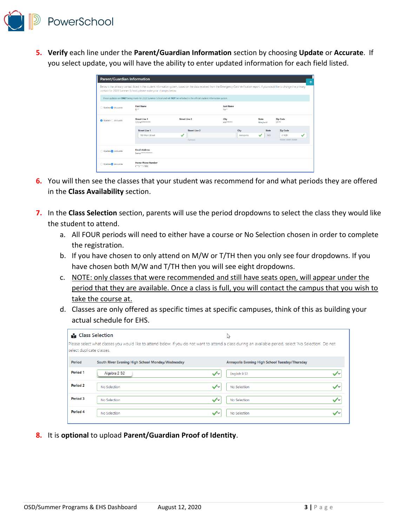

**5. Verify** each line under the **Parent/Guardian Information** section by choosing **Update** or **Accurate**. If you select update, you will have the ability to enter updated information for each field listed.

| Parent/Guardian Information<br>↑                                                                                                                                                                                                                          |                                            |                                        |                   |                                                                            |                                                      |  |  |  |
|-----------------------------------------------------------------------------------------------------------------------------------------------------------------------------------------------------------------------------------------------------------|--------------------------------------------|----------------------------------------|-------------------|----------------------------------------------------------------------------|------------------------------------------------------|--|--|--|
| Below is the primary contact listed in the student information system, based on the data received from the Emergency Card Verification report. If you would like to change the primary<br>contact for 2020 Summer School, please make your changes below. |                                            |                                        |                   |                                                                            |                                                      |  |  |  |
| These updates are ONLY being made for 2020 Summer School and will NOT be reflected in the official student information system.                                                                                                                            |                                            |                                        |                   |                                                                            |                                                      |  |  |  |
| <b>First Name</b><br><b>Last Name</b><br>○ Update ● Accurate<br>Fr**<br>Ro <sup>ss</sup>                                                                                                                                                                  |                                            |                                        |                   |                                                                            |                                                      |  |  |  |
| ● Update ○ Accurate                                                                                                                                                                                                                                       | <b>Street Line 1</b><br>123 Metersteen     | <b>Street Line 2</b>                   |                   | City<br><b>State</b><br><b>Zip Code</b><br>ANSASSAS<br>$21***$<br>Maryland |                                                      |  |  |  |
|                                                                                                                                                                                                                                                           | <b>Street Line 1</b><br>789 Main Street    | <b>Street Line 2</b><br>✓<br>Optional. | City<br>Annapolis | State<br><b>MD</b>                                                         | <b>Zip Code</b><br>21409<br>✓<br>300006.30006-300006 |  |  |  |
| Update C Accurate                                                                                                                                                                                                                                         | <b>Email Address</b><br>Samprassussasse    |                                        |                   |                                                                            |                                                      |  |  |  |
| Update C Accurate                                                                                                                                                                                                                                         | <b>Home Phone Number</b><br>(***) ***-7890 |                                        |                   |                                                                            |                                                      |  |  |  |

- **6.** You will then see the classes that your student was recommend for and what periods they are offered in the **Class Availability** section.
- **7.** In the **Class Selection** section, parents will use the period dropdowns to select the class they would like the student to attend.
	- a. All FOUR periods will need to either have a course or No Selection chosen in order to complete the registration.
	- b. If you have chosen to only attend on M/W or T/TH then you only see four dropdowns. If you have chosen both M/W and T/TH then you will see eight dropdowns.
	- c. NOTE: only classes that were recommended and still have seats open, will appear under the period that they are available. Once a class is full, you will contact the campus that you wish to take the course at.
	- d. Classes are only offered as specific times at specific campuses, think of this as building your actual schedule for EHS.

| <b>Class Selection</b><br>ピ |                                                                                                                                                           |                                                |  |  |  |
|-----------------------------|-----------------------------------------------------------------------------------------------------------------------------------------------------------|------------------------------------------------|--|--|--|
| select duplicate classes.   | Please select what classes you would like to attend below. If you do not want to attend a class during an available period, select 'No Selection'. Do not |                                                |  |  |  |
| Period                      | South River Evening High School Monday/Wednesday                                                                                                          | Annapolis Evening High School Tuesday/Thursday |  |  |  |
| Period <sub>1</sub>         | Algebra 2 S2<br>$\sqrt{2}$                                                                                                                                | English 9 S1                                   |  |  |  |
| Period 2                    | $\checkmark$<br>No Selection                                                                                                                              | No Selection                                   |  |  |  |
| Period 3                    | $\checkmark$<br>No Selection                                                                                                                              | No Selection<br>$\sqrt{}$                      |  |  |  |
| Period 4                    | $\sqrt{2}$<br>No Selection                                                                                                                                | No Selection                                   |  |  |  |

**8.** It is **optional** to upload **Parent/Guardian Proof of Identity**.